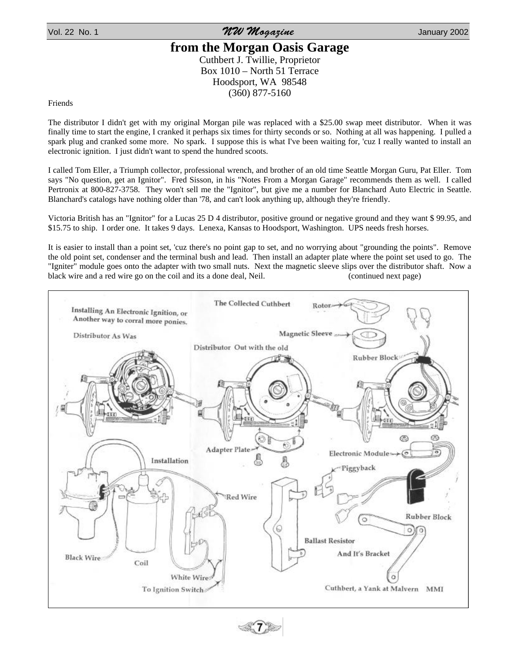Vol. 22 No. 1 No. 1 No. 1 No. 1 No. 1 No. 1 No. 1 No. 1 No. 1 No. 1 No. 1 No. 1 No. 1 No. 1 No. 1 No. 1 No. 1 No. 1 No. 1 No. 1 No. 1 No. 1 No. 1 No. 1 No. 1 No. 1 No. 1 No. 1 No. 1 No. 1 No. 1 No. 1 No. 1 No. 1 No. 1 No.

## **from the Morgan Oasis Garage** Cuthbert J. Twillie, Proprietor

Box 1010 – North 51 Terrace Hoodsport, WA 98548 (360) 877-5160

Friends

The distributor I didn't get with my original Morgan pile was replaced with a \$25.00 swap meet distributor. When it was finally time to start the engine, I cranked it perhaps six times for thirty seconds or so. Nothing at all was happening. I pulled a spark plug and cranked some more. No spark. I suppose this is what I've been waiting for, 'cuz I really wanted to install an electronic ignition. I just didn't want to spend the hundred scoots.

I called Tom Eller, a Triumph collector, professional wrench, and brother of an old time Seattle Morgan Guru, Pat Eller. Tom says "No question, get an Ignitor". Fred Sisson, in his "Notes From a Morgan Garage" recommends them as well. I called Pertronix at 800-827-3758. They won't sell me the "Ignitor", but give me a number for Blanchard Auto Electric in Seattle. Blanchard's catalogs have nothing older than '78, and can't look anything up, although they're friendly.

Victoria British has an "Ignitor" for a Lucas 25 D 4 distributor, positive ground or negative ground and they want \$ 99.95, and \$15.75 to ship. I order one. It takes 9 days. Lenexa, Kansas to Hoodsport, Washington. UPS needs fresh horses.

It is easier to install than a point set, 'cuz there's no point gap to set, and no worrying about "grounding the points". Remove the old point set, condenser and the terminal bush and lead. Then install an adapter plate where the point set used to go. The "Igniter" module goes onto the adapter with two small nuts. Next the magnetic sleeve slips over the distributor shaft. Now a black wire and a red wire go on the coil and its a done deal, Neil. (continued next page)